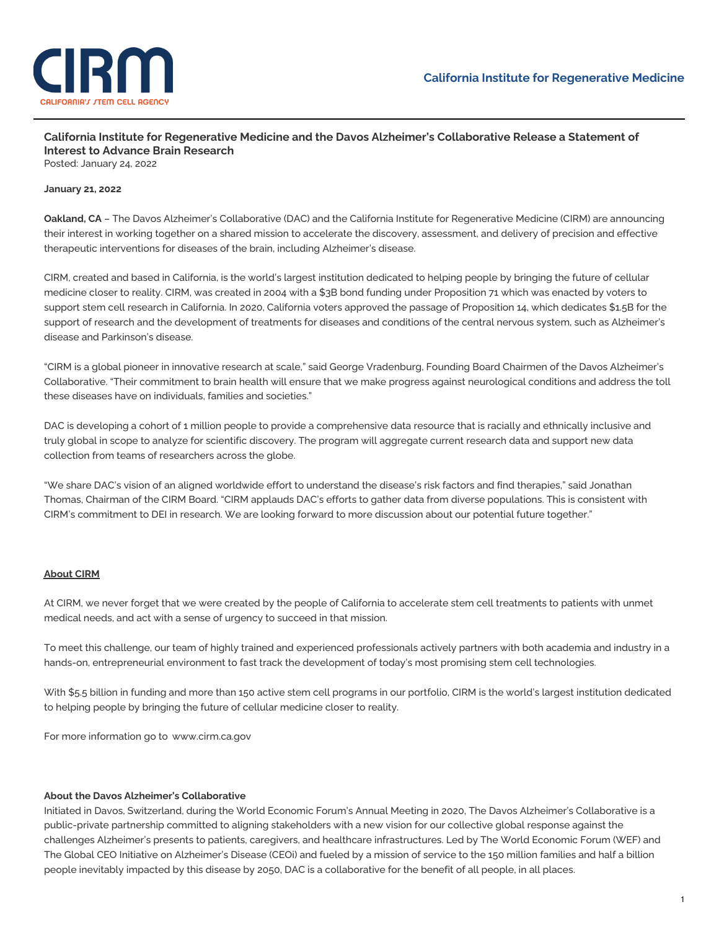

**California Institute for Regenerative Medicine and the Davos Alzheimer's Collaborative Release a Statement of Interest to Advance Brain Research** Posted: January 24, 2022

## **January 21, 2022**

**Oakland, CA** – The Davos Alzheimer's Collaborative (DAC) and the California Institute for Regenerative Medicine (CIRM) are announcing their interest in working together on a shared mission to accelerate the discovery, assessment, and delivery of precision and effective therapeutic interventions for diseases of the brain, including Alzheimer's disease.

CIRM, created and based in California, is the world's largest institution dedicated to helping people by bringing the future of cellular medicine closer to reality. CIRM, was created in 2004 with a \$3B bond funding under Proposition 71 which was enacted by voters to support stem cell research in California. In 2020, California voters approved the passage of Proposition 14, which dedicates \$1.5B for the support of research and the development of treatments for diseases and conditions of the central nervous system, such as Alzheimer's disease and Parkinson's disease.

"CIRM is a global pioneer in innovative research at scale," said George Vradenburg, Founding Board Chairmen of the Davos Alzheimer's Collaborative. "Their commitment to brain health will ensure that we make progress against neurological conditions and address the toll these diseases have on individuals, families and societies."

DAC is developing a cohort of 1 million people to provide a comprehensive data resource that is racially and ethnically inclusive and truly global in scope to analyze for scientific discovery. The program will aggregate current research data and support new data collection from teams of researchers across the globe.

"We share DAC's vision of an aligned worldwide effort to understand the disease's risk factors and find therapies," said Jonathan Thomas, Chairman of the CIRM Board. "CIRM applauds DAC's efforts to gather data from diverse populations. This is consistent with CIRM's commitment to DEI in research. We are looking forward to more discussion about our potential future together."

## **About CIRM**

At CIRM, we never forget that we were created by the people of California to accelerate stem cell treatments to patients with unmet medical needs, and act with a sense of urgency to succeed in that mission.

To meet this challenge, our team of highly trained and experienced professionals actively partners with both academia and industry in a hands-on, entrepreneurial environment to fast track the development of today's most promising stem cell technologies.

With \$5.5 billion in funding and more than 150 active stem cell programs in our portfolio, CIRM is the world's largest institution dedicated to helping people by bringing the future of cellular medicine closer to reality.

For more information go to [www.cirm.ca.gov](http://www.cirm.ca.gov)

## **About the Davos Alzheimer's Collaborative**

Initiated in Davos, Switzerland, during the World Economic Forum's Annual Meeting in 2020, The Davos Alzheimer's Collaborative is a public-private partnership committed to aligning stakeholders with a new vision for our collective global response against the challenges Alzheimer's presents to patients, caregivers, and healthcare infrastructures. Led by The World Economic Forum (WEF) and The Global CEO Initiative on Alzheimer's Disease (CEOi) and fueled by a mission of service to the 150 million families and half a billion people inevitably impacted by this disease by 2050, DAC is a collaborative for the benefit of all people, in all places.